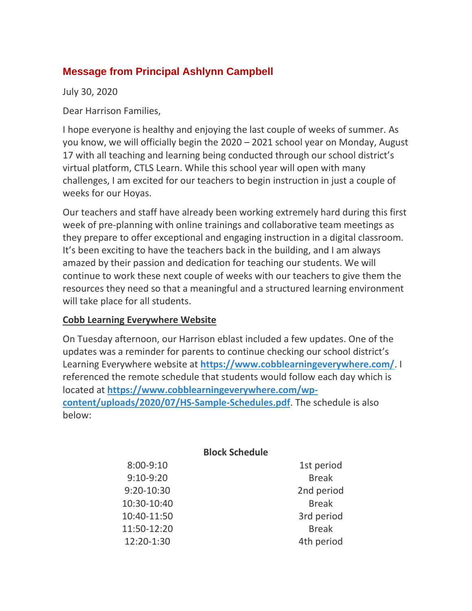# **Message from Principal Ashlynn Campbell**

July 30, 2020

Dear Harrison Families,

I hope everyone is healthy and enjoying the last couple of weeks of summer. As you know, we will officially begin the 2020 – 2021 school year on Monday, August 17 with all teaching and learning being conducted through our school district's virtual platform, CTLS Learn. While this school year will open with many challenges, I am excited for our teachers to begin instruction in just a couple of weeks for our Hoyas.

Our teachers and staff have already been working extremely hard during this first week of pre-planning with online trainings and collaborative team meetings as they prepare to offer exceptional and engaging instruction in a digital classroom. It's been exciting to have the teachers back in the building, and I am always amazed by their passion and dedication for teaching our students. We will continue to work these next couple of weeks with our teachers to give them the resources they need so that a meaningful and a structured learning environment will take place for all students.

### **Cobb Learning Everywhere Website**

On Tuesday afternoon, our Harrison eblast included a few updates. One of the updates was a reminder for parents to continue checking our school district's Learning Everywhere website at **<https://www.cobblearningeverywhere.com/>**. I referenced the remote schedule that students would follow each day which is located at **[https://www.cobblearningeverywhere.com/wp](https://www.cobblearningeverywhere.com/wp-content/uploads/2020/07/HS-Sample-Schedules.pdf)[content/uploads/2020/07/HS-Sample-Schedules.pdf](https://www.cobblearningeverywhere.com/wp-content/uploads/2020/07/HS-Sample-Schedules.pdf)**. The schedule is also below:

|               | <b>Block Schedule</b> |              |
|---------------|-----------------------|--------------|
| $8:00 - 9:10$ |                       | 1st period   |
| $9:10-9:20$   |                       | <b>Break</b> |
| 9:20-10:30    |                       | 2nd period   |
| 10:30-10:40   |                       | <b>Break</b> |
| 10:40-11:50   |                       | 3rd period   |
| 11:50-12:20   |                       | <b>Break</b> |
| 12:20-1:30    |                       | 4th period   |
|               |                       |              |

**Block Schedule**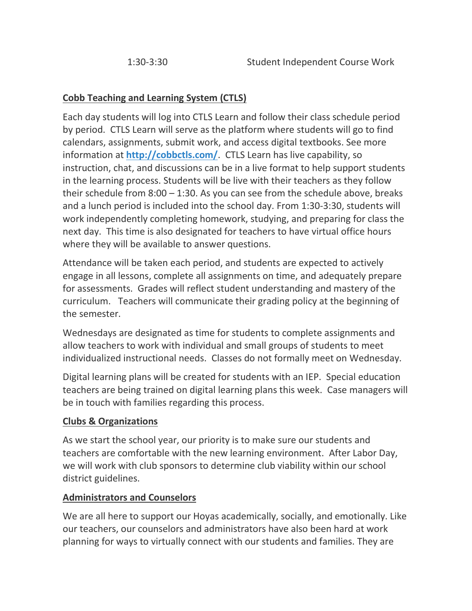## **Cobb Teaching and Learning System (CTLS)**

Each day students will log into CTLS Learn and follow their class schedule period by period. CTLS Learn will serve as the platform where students will go to find calendars, assignments, submit work, and access digital textbooks. See more information at **<http://cobbctls.com/>**. CTLS Learn has live capability, so instruction, chat, and discussions can be in a live format to help support students in the learning process. Students will be live with their teachers as they follow their schedule from 8:00 – 1:30. As you can see from the schedule above, breaks and a lunch period is included into the school day. From 1:30-3:30, students will work independently completing homework, studying, and preparing for class the next day. This time is also designated for teachers to have virtual office hours where they will be available to answer questions.

Attendance will be taken each period, and students are expected to actively engage in all lessons, complete all assignments on time, and adequately prepare for assessments. Grades will reflect student understanding and mastery of the curriculum. Teachers will communicate their grading policy at the beginning of the semester.

Wednesdays are designated as time for students to complete assignments and allow teachers to work with individual and small groups of students to meet individualized instructional needs. Classes do not formally meet on Wednesday.

Digital learning plans will be created for students with an IEP. Special education teachers are being trained on digital learning plans this week. Case managers will be in touch with families regarding this process.

### **Clubs & Organizations**

As we start the school year, our priority is to make sure our students and teachers are comfortable with the new learning environment. After Labor Day, we will work with club sponsors to determine club viability within our school district guidelines.

### **Administrators and Counselors**

We are all here to support our Hoyas academically, socially, and emotionally. Like our teachers, our counselors and administrators have also been hard at work planning for ways to virtually connect with our students and families. They are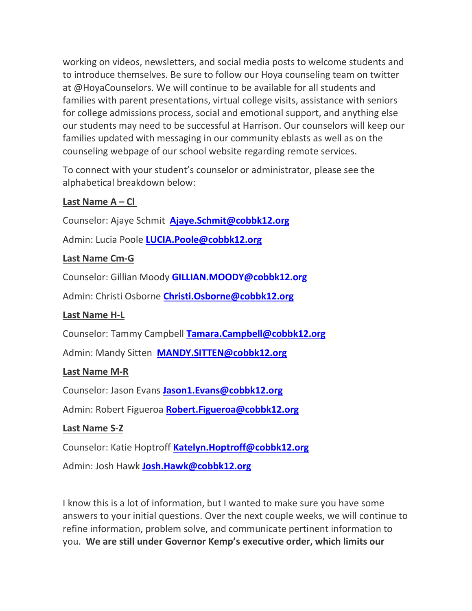working on videos, newsletters, and social media posts to welcome students and to introduce themselves. Be sure to follow our Hoya counseling team on twitter at @HoyaCounselors. We will continue to be available for all students and families with parent presentations, virtual college visits, assistance with seniors for college admissions process, social and emotional support, and anything else our students may need to be successful at Harrison. Our counselors will keep our families updated with messaging in our community eblasts as well as on the counseling webpage of our school website regarding remote services.

To connect with your student's counselor or administrator, please see the alphabetical breakdown below:

### **Last Name A – Cl**

Counselor: Ajaye Schmit **[Ajaye.Schmit@cobbk12.org](mailto:Ajaye.Schmit@cobbk12.org)**

Admin: Lucia Poole **[LUCIA.Poole@cobbk12.org](mailto:LUCIA.Poole@cobbk12.org)**

#### **Last Name Cm-G**

Counselor: Gillian Moody **[GILLIAN.MOODY@cobbk12.org](mailto:GILLIAN.MOODY@cobbk12.org)**

Admin: Christi Osborne **[Christi.Osborne@cobbk12.org](mailto:Christi.Osborne@cobbk12.org)**

### **Last Name H-L**

Counselor: Tammy Campbell **[Tamara.Campbell@cobbk12.org](mailto:Tamara.Campbell@cobbk12.org)**

Admin: Mandy Sitten **[MANDY.SITTEN@cobbk12.org](mailto:MANDY.SITTEN@cobbk12.org)**

### **Last Name M-R**

Counselor: Jason Evans **[Jason1.Evans@cobbk12.org](mailto:Jason1.Evans@cobbk12.org)**

Admin: Robert Figueroa **[Robert.Figueroa@cobbk12.org](mailto:Robert.Figueroa@cobbk12.org)**

### **Last Name S-Z**

Counselor: Katie Hoptroff **[Katelyn.Hoptroff@cobbk12.org](mailto:Katelyn.Hoptroff@cobbk12.org)**

Admin: Josh Hawk **[Josh.Hawk@cobbk12.org](mailto:Josh.Hawk@cobbk12.org)**

I know this is a lot of information, but I wanted to make sure you have some answers to your initial questions. Over the next couple weeks, we will continue to refine information, problem solve, and communicate pertinent information to you. **We are still under Governor Kemp's executive order, which limits our**